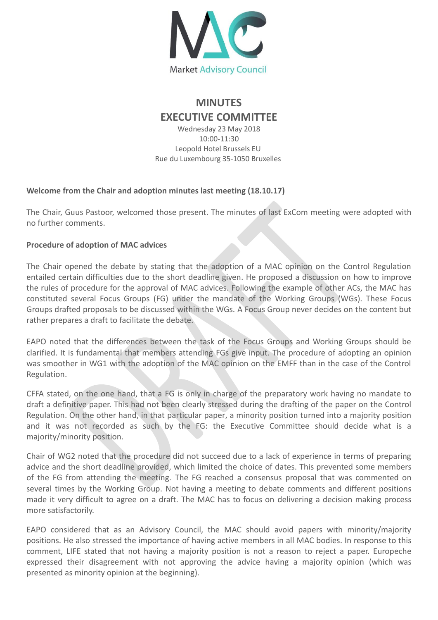

# **MINUTES EXECUTIVE COMMITTEE**

Wednesday 23 May 2018 10:00-11:30 Leopold Hotel Brussels EU Rue du Luxembourg 35-1050 Bruxelles

### **Welcome from the Chair and adoption minutes last meeting (18.10.17)**

The Chair, Guus Pastoor, welcomed those present. The minutes of last ExCom meeting were adopted with no further comments.

## **Procedure of adoption of MAC advices**

The Chair opened the debate by stating that the adoption of a MAC opinion on the Control Regulation entailed certain difficulties due to the short deadline given. He proposed a discussion on how to improve the rules of procedure for the approval of MAC advices. Following the example of other ACs, the MAC has constituted several Focus Groups (FG) under the mandate of the Working Groups (WGs). These Focus Groups drafted proposals to be discussed within the WGs. A Focus Group never decides on the content but rather prepares a draft to facilitate the debate.

EAPO noted that the differences between the task of the Focus Groups and Working Groups should be clarified. It is fundamental that members attending FGs give input. The procedure of adopting an opinion was smoother in WG1 with the adoption of the MAC opinion on the EMFF than in the case of the Control Regulation.

CFFA stated, on the one hand, that a FG is only in charge of the preparatory work having no mandate to draft a definitive paper. This had not been clearly stressed during the drafting of the paper on the Control Regulation. On the other hand, in that particular paper, a minority position turned into a majority position and it was not recorded as such by the FG: the Executive Committee should decide what is a majority/minority position.

Chair of WG2 noted that the procedure did not succeed due to a lack of experience in terms of preparing advice and the short deadline provided, which limited the choice of dates. This prevented some members of the FG from attending the meeting. The FG reached a consensus proposal that was commented on several times by the Working Group. Not having a meeting to debate comments and different positions made it very difficult to agree on a draft. The MAC has to focus on delivering a decision making process more satisfactorily.

EAPO considered that as an Advisory Council, the MAC should avoid papers with minority/majority positions. He also stressed the importance of having active members in all MAC bodies. In response to this comment, LIFE stated that not having a majority position is not a reason to reject a paper. Europeche expressed their disagreement with not approving the advice having a majority opinion (which was presented as minority opinion at the beginning).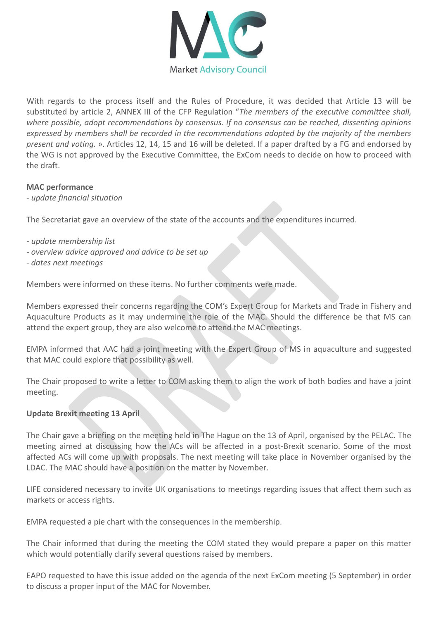

With regards to the process itself and the Rules of Procedure, it was decided that Article 13 will be substituted by article 2, ANNEX III of the CFP Regulation "*The members of the executive committee shall, where possible, adopt recommendations by consensus. If no consensus can be reached, dissenting opinions expressed by members shall be recorded in the recommendations adopted by the majority of the members present and voting.* ». Articles 12, 14, 15 and 16 will be deleted. If a paper drafted by a FG and endorsed by the WG is not approved by the Executive Committee, the ExCom needs to decide on how to proceed with the draft.

#### **MAC performance**

- *update financial situation*

The Secretariat gave an overview of the state of the accounts and the expenditures incurred.

- *- update membership list*
- *- overview advice approved and advice to be set up*
- *- dates next meetings*

Members were informed on these items. No further comments were made.

Members expressed their concerns regarding the COM's Expert Group for Markets and Trade in Fishery and Aquaculture Products as it may undermine the role of the MAC. Should the difference be that MS can attend the expert group, they are also welcome to attend the MAC meetings.

EMPA informed that AAC had a joint meeting with the Expert Group of MS in aquaculture and suggested that MAC could explore that possibility as well.

The Chair proposed to write a letter to COM asking them to align the work of both bodies and have a joint meeting.

#### **Update Brexit meeting 13 April**

The Chair gave a briefing on the meeting held in The Hague on the 13 of April, organised by the PELAC. The meeting aimed at discussing how the ACs will be affected in a post-Brexit scenario. Some of the most affected ACs will come up with proposals. The next meeting will take place in November organised by the LDAC. The MAC should have a position on the matter by November.

LIFE considered necessary to invite UK organisations to meetings regarding issues that affect them such as markets or access rights.

EMPA requested a pie chart with the consequences in the membership.

The Chair informed that during the meeting the COM stated they would prepare a paper on this matter which would potentially clarify several questions raised by members.

EAPO requested to have this issue added on the agenda of the next ExCom meeting (5 September) in order to discuss a proper input of the MAC for November.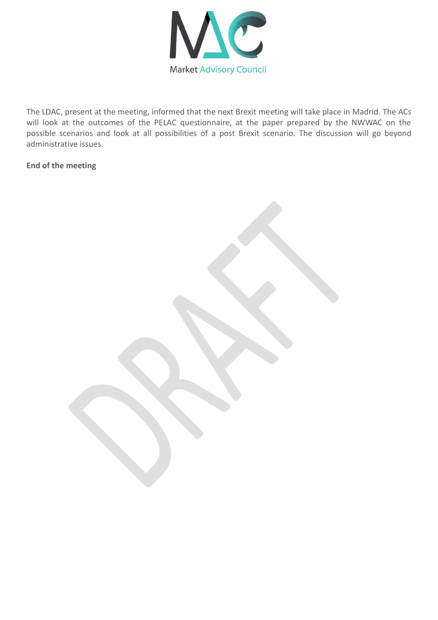

The LDAC, present at the meeting, informed that the next Brexit meeting will take place in Madrid. The ACs will look at the outcomes of the PELAC questionnaire, at the paper prepared by the NWWAC on the possible scenarios and look at all possibilities of a post Brexit scenario. The discussion will go beyond administrative issues.

#### **End of the meeting**